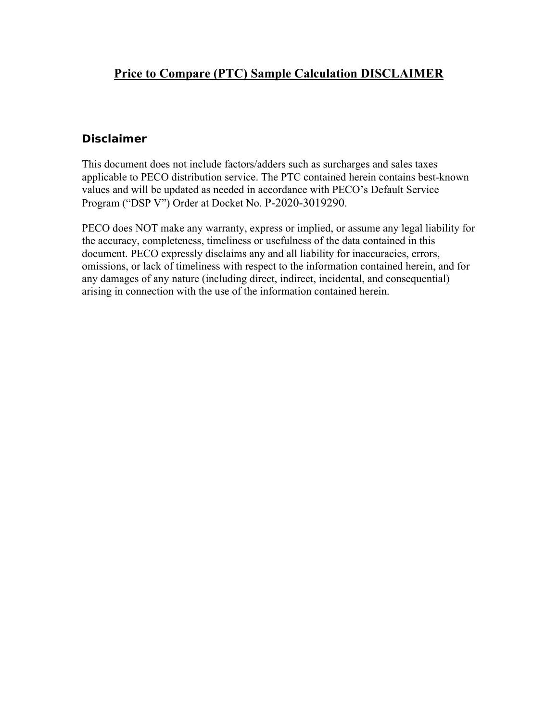## **Disclaimer**

This document does not include factors/adders such as surcharges and sales taxes applicable to PECO distribution service. The PTC contained herein contains best-known values and will be updated as needed in accordance with PECO's Default Service Program ("DSP V") Order at Docket No. P-2020-3019290.

PECO does NOT make any warranty, express or implied, or assume any legal liability for the accuracy, completeness, timeliness or usefulness of the data contained in this document. PECO expressly disclaims any and all liability for inaccuracies, errors, omissions, or lack of timeliness with respect to the information contained herein, and for any damages of any nature (including direct, indirect, incidental, and consequential) arising in connection with the use of the information contained herein.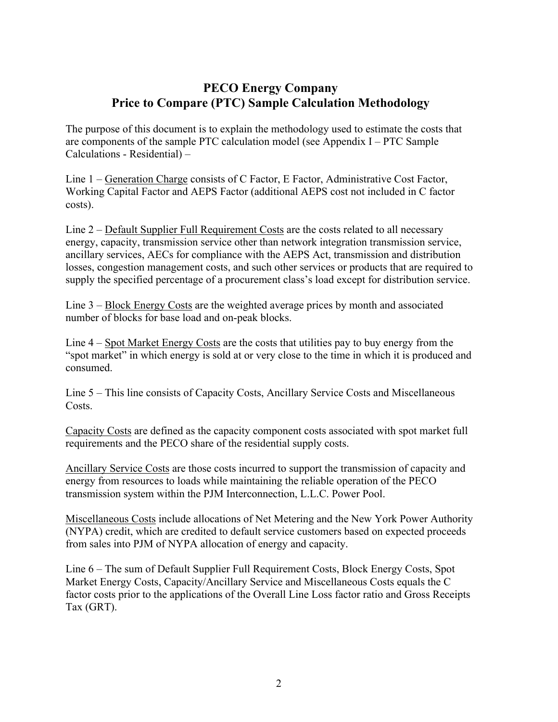# **PECO Energy Company Price to Compare (PTC) Sample Calculation Methodology**

The purpose of this document is to explain the methodology used to estimate the costs that are components of the sample PTC calculation model (see Appendix I – PTC Sample Calculations - Residential) –

Line 1 – Generation Charge consists of C Factor, E Factor, Administrative Cost Factor, Working Capital Factor and AEPS Factor (additional AEPS cost not included in C factor costs).

Line 2 – Default Supplier Full Requirement Costs are the costs related to all necessary energy, capacity, transmission service other than network integration transmission service, ancillary services, AECs for compliance with the AEPS Act, transmission and distribution losses, congestion management costs, and such other services or products that are required to supply the specified percentage of a procurement class's load except for distribution service.

Line 3 – Block Energy Costs are the weighted average prices by month and associated number of blocks for base load and on-peak blocks.

Line 4 – Spot Market Energy Costs are the costs that utilities pay to buy energy from the "spot market" in which energy is sold at or very close to the time in which it is produced and consumed.

Line 5 – This line consists of Capacity Costs, Ancillary Service Costs and Miscellaneous Costs.

Capacity Costs are defined as the capacity component costs associated with spot market full requirements and the PECO share of the residential supply costs.

Ancillary Service Costs are those costs incurred to support the transmission of capacity and energy from resources to loads while maintaining the reliable operation of the PECO transmission system within the PJM Interconnection, L.L.C. Power Pool.

Miscellaneous Costs include allocations of Net Metering and the New York Power Authority (NYPA) credit, which are credited to default service customers based on expected proceeds from sales into PJM of NYPA allocation of energy and capacity.

Line 6 – The sum of Default Supplier Full Requirement Costs, Block Energy Costs, Spot Market Energy Costs, Capacity/Ancillary Service and Miscellaneous Costs equals the C factor costs prior to the applications of the Overall Line Loss factor ratio and Gross Receipts Tax (GRT).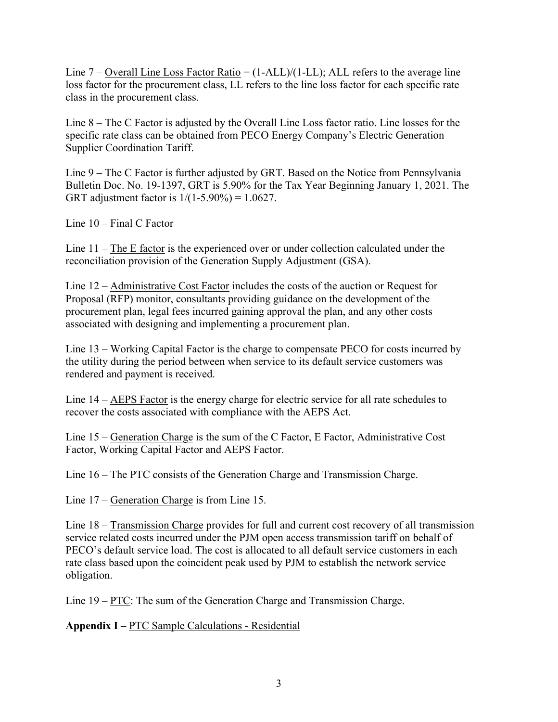Line  $7$  – Overall Line Loss Factor Ratio = (1-ALL)/(1-LL); ALL refers to the average line loss factor for the procurement class, LL refers to the line loss factor for each specific rate class in the procurement class.

Line 8 – The C Factor is adjusted by the Overall Line Loss factor ratio. Line losses for the specific rate class can be obtained from PECO Energy Company's Electric Generation Supplier Coordination Tariff.

Line 9 – The C Factor is further adjusted by GRT. Based on the Notice from Pennsylvania Bulletin Doc. No. 19-1397, GRT is 5.90% for the Tax Year Beginning January 1, 2021. The GRT adjustment factor is  $1/(1-5.90\%) = 1.0627$ .

Line 10 – Final C Factor

Line  $11 -$ The E factor is the experienced over or under collection calculated under the reconciliation provision of the Generation Supply Adjustment (GSA).

Line 12 – Administrative Cost Factor includes the costs of the auction or Request for Proposal (RFP) monitor, consultants providing guidance on the development of the procurement plan, legal fees incurred gaining approval the plan, and any other costs associated with designing and implementing a procurement plan.

Line 13 – Working Capital Factor is the charge to compensate PECO for costs incurred by the utility during the period between when service to its default service customers was rendered and payment is received.

Line 14 – AEPS Factor is the energy charge for electric service for all rate schedules to recover the costs associated with compliance with the AEPS Act.

Line 15 – Generation Charge is the sum of the C Factor, E Factor, Administrative Cost Factor, Working Capital Factor and AEPS Factor.

Line 16 – The PTC consists of the Generation Charge and Transmission Charge.

Line 17 – Generation Charge is from Line 15.

Line 18 – Transmission Charge provides for full and current cost recovery of all transmission service related costs incurred under the PJM open access transmission tariff on behalf of PECO's default service load. The cost is allocated to all default service customers in each rate class based upon the coincident peak used by PJM to establish the network service obligation.

Line 19 – <u>PTC</u>: The sum of the Generation Charge and Transmission Charge.

**Appendix I –** PTC Sample Calculations - Residential